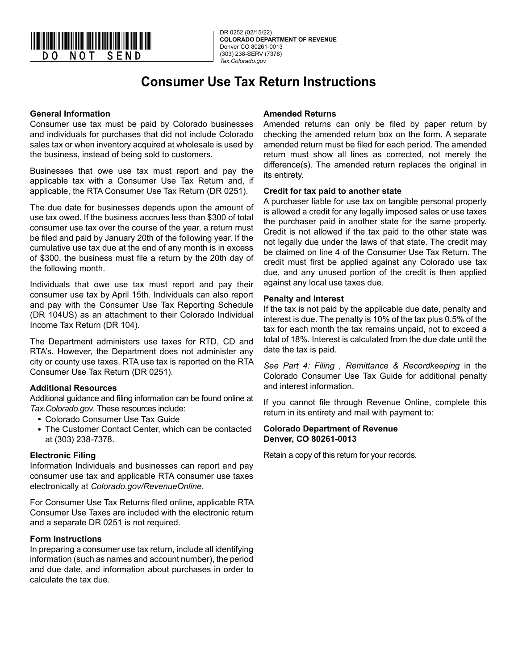

# **Consumer Use Tax Return Instructions**

## **General Information**

Consumer use tax must be paid by Colorado businesses and individuals for purchases that did not include Colorado sales tax or when inventory acquired at wholesale is used by the business, instead of being sold to customers.

Businesses that owe use tax must report and pay the applicable tax with a Consumer Use Tax Return and, if applicable, the RTA Consumer Use Tax Return (DR 0251).

The due date for businesses depends upon the amount of use tax owed. If the business accrues less than \$300 of total consumer use tax over the course of the year, a return must be filed and paid by January 20th of the following year. If the cumulative use tax due at the end of any month is in excess of \$300, the business must file a return by the 20th day of the following month.

Individuals that owe use tax must report and pay their consumer use tax by April 15th. Individuals can also report and pay with the Consumer Use Tax Reporting Schedule (DR 104US) as an attachment to their Colorado Individual Income Tax Return (DR 104).

The Department administers use taxes for RTD, CD and RTA's. However, the Department does not administer any city or county use taxes. RTA use tax is reported on the RTA Consumer Use Tax Return (DR 0251).

#### **Additional Resources**

Additional guidance and filing information can be found online at *Tax.Colorado.gov*. These resources include:

- Colorado Consumer Use Tax Guide
- The Customer Contact Center, which can be contacted at (303) 238-7378.

# **Electronic Filing**

Information Individuals and businesses can report and pay consumer use tax and applicable RTA consumer use taxes electronically at *Colorado.gov/RevenueOnline*.

For Consumer Use Tax Returns filed online, applicable RTA Consumer Use Taxes are included with the electronic return and a separate DR 0251 is not required.

#### **Form Instructions**

In preparing a consumer use tax return, include all identifying information (such as names and account number), the period and due date, and information about purchases in order to calculate the tax due.

# **Amended Returns**

Amended returns can only be filed by paper return by checking the amended return box on the form. A separate amended return must be filed for each period. The amended return must show all lines as corrected, not merely the difference(s). The amended return replaces the original in its entirety.

## **Credit for tax paid to another state**

A purchaser liable for use tax on tangible personal property is allowed a credit for any legally imposed sales or use taxes the purchaser paid in another state for the same property. Credit is not allowed if the tax paid to the other state was not legally due under the laws of that state. The credit may be claimed on line 4 of the Consumer Use Tax Return. The credit must first be applied against any Colorado use tax due, and any unused portion of the credit is then applied against any local use taxes due.

#### **Penalty and Interest**

If the tax is not paid by the applicable due date, penalty and interest is due. The penalty is 10% of the tax plus 0.5% of the tax for each month the tax remains unpaid, not to exceed a total of 18%. Interest is calculated from the due date until the date the tax is paid.

*See Part 4: Filing , Remittance & Recordkeeping* in the Colorado Consumer Use Tax Guide for additional penalty and interest information.

If you cannot file through Revenue Online, complete this return in its entirety and mail with payment to:

#### **Colorado Department of Revenue Denver, CO 80261-0013**

Retain a copy of this return for your records.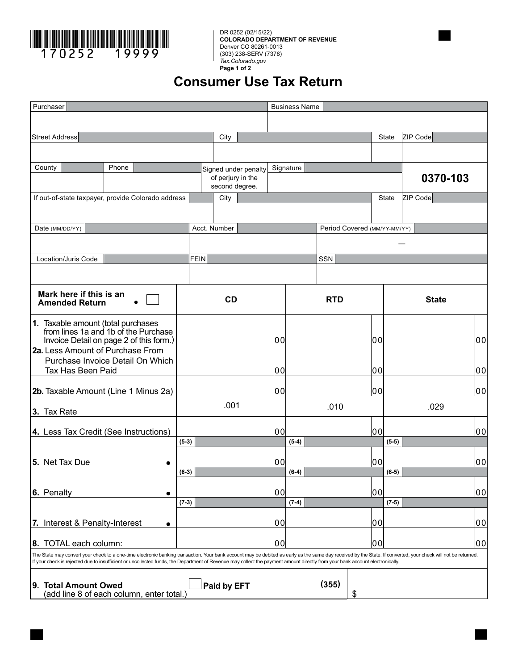

**COLORADO DEPARTMENT OF REVENUE** Denver CO 80261-0013 (303) 238-SERV (7378) *Tax.Colorado.gov* **Page 1 of 2**

# **Consumer Use Tax Return**

| Purchaser                                                                                                                                                                    |                                                                                                                       |       |                                                                                                                                                                                                                |           |             |                                     |                      |            | <b>Business Name</b> |       |                              |              |         |          |  |          |    |
|------------------------------------------------------------------------------------------------------------------------------------------------------------------------------|-----------------------------------------------------------------------------------------------------------------------|-------|----------------------------------------------------------------------------------------------------------------------------------------------------------------------------------------------------------------|-----------|-------------|-------------------------------------|----------------------|------------|----------------------|-------|------------------------------|--------------|---------|----------|--|----------|----|
|                                                                                                                                                                              |                                                                                                                       |       |                                                                                                                                                                                                                |           |             |                                     |                      |            |                      |       |                              |              |         |          |  |          |    |
| <b>Street Address</b>                                                                                                                                                        |                                                                                                                       |       |                                                                                                                                                                                                                |           |             | City                                |                      |            |                      |       |                              |              | State   | ZIP Code |  |          |    |
|                                                                                                                                                                              |                                                                                                                       |       |                                                                                                                                                                                                                |           |             |                                     |                      |            |                      |       |                              |              |         |          |  |          |    |
| County                                                                                                                                                                       |                                                                                                                       | Phone |                                                                                                                                                                                                                |           |             |                                     | Signed under penalty |            | Signature            |       |                              |              |         |          |  |          |    |
|                                                                                                                                                                              |                                                                                                                       |       |                                                                                                                                                                                                                |           |             | of perjury in the<br>second degree. |                      |            |                      |       |                              |              |         |          |  | 0370-103 |    |
| If out-of-state taxpayer, provide Colorado address                                                                                                                           |                                                                                                                       |       |                                                                                                                                                                                                                |           |             | City                                |                      |            |                      |       |                              |              | State   | ZIP Code |  |          |    |
|                                                                                                                                                                              |                                                                                                                       |       |                                                                                                                                                                                                                |           |             |                                     |                      |            |                      |       |                              |              |         |          |  |          |    |
| Date (MM/DD/YY)                                                                                                                                                              |                                                                                                                       |       |                                                                                                                                                                                                                |           |             | Acct. Number                        |                      |            |                      |       | Period Covered (MM/YY-MM/YY) |              |         |          |  |          |    |
|                                                                                                                                                                              |                                                                                                                       |       |                                                                                                                                                                                                                |           |             |                                     |                      |            |                      |       |                              |              |         |          |  |          |    |
|                                                                                                                                                                              | Location/Juris Code                                                                                                   |       |                                                                                                                                                                                                                |           | <b>FEIN</b> |                                     |                      |            |                      | SSN   |                              |              |         |          |  |          |    |
|                                                                                                                                                                              |                                                                                                                       |       |                                                                                                                                                                                                                |           |             |                                     |                      |            |                      |       |                              |              |         |          |  |          |    |
| Mark here if this is an<br><b>Amended Return</b>                                                                                                                             |                                                                                                                       |       |                                                                                                                                                                                                                | <b>CD</b> |             |                                     |                      | <b>RTD</b> |                      |       |                              | <b>State</b> |         |          |  |          |    |
|                                                                                                                                                                              | 1. Taxable amount (total purchases<br>from lines 1a and 1b of the Purchase<br>Invoice Detail on page 2 of this form.) |       |                                                                                                                                                                                                                |           |             |                                     |                      | 00         |                      |       |                              | 100          |         |          |  |          | 00 |
|                                                                                                                                                                              | 2a. Less Amount of Purchase From                                                                                      |       |                                                                                                                                                                                                                |           |             |                                     |                      |            |                      |       |                              |              |         |          |  |          |    |
| Purchase Invoice Detail On Which                                                                                                                                             |                                                                                                                       |       |                                                                                                                                                                                                                |           |             |                                     |                      |            |                      |       |                              |              |         |          |  |          |    |
|                                                                                                                                                                              | Tax Has Been Paid                                                                                                     |       |                                                                                                                                                                                                                |           |             |                                     |                      | 10 Ol      |                      |       |                              | 100          |         |          |  |          | 00 |
|                                                                                                                                                                              | 2b. Taxable Amount (Line 1 Minus 2a)                                                                                  |       |                                                                                                                                                                                                                |           |             |                                     |                      | 10 O       |                      |       |                              | 00           |         |          |  |          | 00 |
| 3. Tax Rate                                                                                                                                                                  |                                                                                                                       |       | .001                                                                                                                                                                                                           |           |             |                                     | .010                 |            |                      |       | .029                         |              |         |          |  |          |    |
|                                                                                                                                                                              | 4. Less Tax Credit (See Instructions)                                                                                 |       |                                                                                                                                                                                                                |           |             |                                     |                      | lool       |                      |       |                              | lool         |         |          |  |          | 00 |
|                                                                                                                                                                              |                                                                                                                       |       |                                                                                                                                                                                                                | $(5-3)$   |             |                                     |                      |            | $(5-4)$              |       |                              |              | $(5-5)$ |          |  |          |    |
| 5. Net Tax Due                                                                                                                                                               |                                                                                                                       |       |                                                                                                                                                                                                                |           |             |                                     |                      | l0 Ol      |                      |       |                              | 00           |         |          |  |          | 00 |
|                                                                                                                                                                              |                                                                                                                       |       |                                                                                                                                                                                                                | $(6-3)$   |             |                                     |                      |            | $(6-4)$              |       |                              |              | $(6-5)$ |          |  |          |    |
| 6. Penalty                                                                                                                                                                   |                                                                                                                       |       | $\bullet$                                                                                                                                                                                                      |           |             |                                     |                      | 00         |                      |       |                              | 00           |         |          |  |          | 00 |
|                                                                                                                                                                              |                                                                                                                       |       |                                                                                                                                                                                                                | $(7-3)$   |             |                                     |                      |            | $(7-4)$              |       |                              |              | $(7-5)$ |          |  |          |    |
|                                                                                                                                                                              | 7. Interest & Penalty-Interest                                                                                        |       | $\bullet$                                                                                                                                                                                                      |           |             |                                     |                      | 10 Ol      |                      |       |                              | 00           |         |          |  |          | 00 |
|                                                                                                                                                                              |                                                                                                                       |       |                                                                                                                                                                                                                |           |             |                                     |                      |            |                      |       |                              |              |         |          |  |          |    |
|                                                                                                                                                                              | 8. TOTAL each column:                                                                                                 |       | The State may convert your check to a one-time electronic banking transaction. Your bank account may be debited as early as the same day received by the State. If converted, your check will not be returned. |           |             |                                     |                      | 00         |                      |       |                              | 00           |         |          |  |          | 00 |
| If your check is rejected due to insufficient or uncollected funds, the Department of Revenue may collect the payment amount directly from your bank account electronically. |                                                                                                                       |       |                                                                                                                                                                                                                |           |             |                                     |                      |            |                      |       |                              |              |         |          |  |          |    |
|                                                                                                                                                                              | 9. Total Amount Owed                                                                                                  |       | (add line 8 of each column, enter total.)                                                                                                                                                                      |           |             | Paid by EFT                         |                      |            |                      | (355) | \$                           |              |         |          |  |          |    |